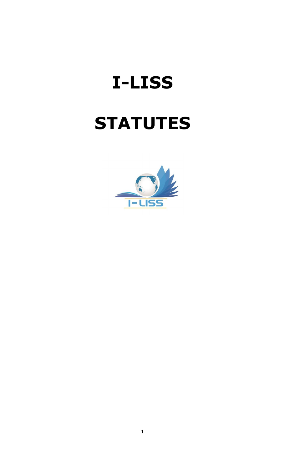# **I-LISS**

# **STATUTES**

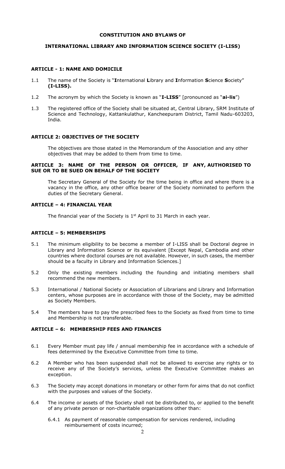#### **CONSTITUTION AND BYLAWS OF**

#### **INTERNATIONAL LIBRARY AND INFORMATION SCIENCE SOCIETY (I-LISS)**

#### **ARTICLE - 1: NAME AND DOMICILE**

- 1.1 The name of the Society is "**I**nternational **L**ibrary and **I**nformation **S**cience **S**ociety" **(I-LISS).**
- 1.2 The acronym by which the Society is known as "**I-LISS**" [pronounced as "**ai-lis**")
- 1.3 The registered office of the Society shall be situated at, Central Library, SRM Institute of Science and Technology, Kattankulathur, Kancheepuram District, Tamil Nadu-603203, India.

#### **ARTICLE 2: OBJECTIVES OF THE SOCIETY**

The objectives are those stated in the Memorandum of the Association and any other objectives that may be added to them from time to time.

#### **ARTICLE 3: NAME OF THE PERSON OR OFFICER, IF ANY, AUTHORISED TO SUE OR TO BE SUED ON BEHALF OF THE SOCIETY**

The Secretary General of the Society for the time being in office and where there is a vacancy in the office, any other office bearer of the Society nominated to perform the duties of the Secretary General.

#### **ARTICLE – 4: FINANCIAL YEAR**

The financial year of the Society is  $1<sup>st</sup>$  April to 31 March in each year.

#### **ARTICLE – 5: MEMBERSHIPS**

- 5.1 The minimum eligibility to be become a member of I-LISS shall be Doctoral degree in Library and Information Science or its equivalent [Except Nepal, Cambodia and other countries where doctoral courses are not available. However, in such cases, the member should be a faculty in Library and Information Sciences.]
- 5.2 Only the existing members including the founding and initiating members shall recommend the new members.
- 5.3 International / National Society or Association of Librarians and Library and Information centers, whose purposes are in accordance with those of the Society, may be admitted as Society Members.
- 5.4 The members have to pay the prescribed fees to the Society as fixed from time to time and Membership is not transferable.

# **ARTICLE – 6: MEMBERSHIP FEES AND FINANCES**

- 6.1 Every Member must pay life / annual membership fee in accordance with a schedule of fees determined by the Executive Committee from time to time.
- 6.2 A Member who has been suspended shall not be allowed to exercise any rights or to receive any of the Society's services, unless the Executive Committee makes an exception.
- 6.3 The Society may accept donations in monetary or other form for aims that do not conflict with the purposes and values of the Society.
- 6.4 The income or assets of the Society shall not be distributed to, or applied to the benefit of any private person or non-charitable organizations other than:
	- 6.4.1 As payment of reasonable compensation for services rendered, including reimbursement of costs incurred;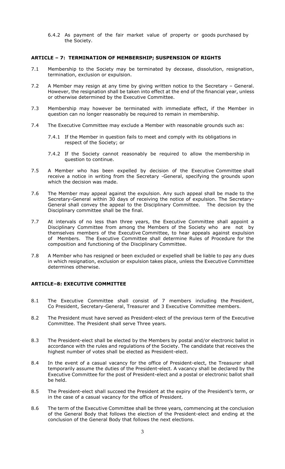6.4.2 As payment of the fair market value of property or goods purchased by the Society.

#### **ARTICLE – 7: TERMINATION OF MEMBERSHIP; SUSPENSION OF RIGHTS**

- 7.1 Membership to the Society may be terminated by decease, dissolution, resignation, termination, exclusion or expulsion.
- 7.2 A Member may resign at any time by giving written notice to the Secretary General. However, the resignation shall be taken into effect at the end of the financial year, unless or otherwise determined by the Executive Committee.
- 7.3 Membership may however be terminated with immediate effect, if the Member in question can no longer reasonably be required to remain in membership.
- 7.4 The Executive Committee may exclude a Member with reasonable grounds such as:
	- 7.4.1 If the Member in question fails to meet and comply with its obligations in respect of the Society; or
	- 7.4.2 If the Society cannot reasonably be required to allow the membership in question to continue.
- 7.5 A Member who has been expelled by decision of the Executive Committee shall receive a notice in writing from the Secretary -General, specifying the grounds upon which the decision was made.
- 7.6 The Member may appeal against the expulsion. Any such appeal shall be made to the Secretary-General within 30 days of receiving the notice of expulsion. The Secretary-General shall convey the appeal to the Disciplinary Committee. The decision by the Disciplinary committee shall be the final.
- 7.7 At intervals of no less than three years, the Executive Committee shall appoint a Disciplinary Committee from among the Members of the Society who are not by themselves members of the Executive Committee, to hear appeals against expulsion of Members. The Executive Committee shall determine Rules of Procedure for the composition and functioning of the Disciplinary Committee.
- 7.8 A Member who has resigned or been excluded or expelled shall be liable to pay any dues in which resignation, exclusion or expulsion takes place, unless the Executive Committee determines otherwise.

# **ARTICLE–8: EXECUTIVE COMMITTEE**

- 8.1 The Executive Committee shall consist of 7 members including the President, Co President, Secretary-General, Treasurer and 3 Executive Committee members.
- 8.2 The President must have served as President-elect of the previous term of the Executive Committee. The President shall serve Three years.
- 8.3 The President-elect shall be elected by the Members by postal and/or electronic ballot in accordance with the rules and regulations of the Society. The candidate that receives the highest number of votes shall be elected as President-elect.
- 8.4 In the event of a casual vacancy for the office of President-elect, the Treasurer shall temporarily assume the duties of the President-elect. A vacancy shall be declared by the Executive Committee for the post of President-elect and a postal or electronic ballot shall be held.
- 8.5 The President-elect shall succeed the President at the expiry of the President's term, or in the case of a casual vacancy for the office of President.
- 8.6 The term of the Executive Committee shall be three years, commencing at the conclusion of the General Body that follows the election of the President-elect and ending at the conclusion of the General Body that follows the next elections.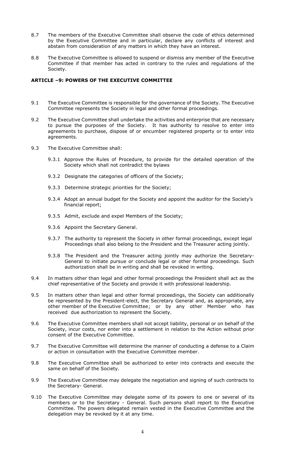- 8.7 The members of the Executive Committee shall observe the code of ethics determined by the Executive Committee and in particular, declare any conflicts of interest and abstain from consideration of any matters in which they have an interest.
- 8.8 The Executive Committee is allowed to suspend or dismiss any member of the Executive Committee if that member has acted in contrary to the rules and regulations of the Society.

#### **ARTICLE –9: POWERS OF THE EXECUTIVE COMMITTEE**

- 9.1 The Executive Committee is responsible for the governance of the Society. The Executive Committee represents the Society in legal and other formal proceedings.
- 9.2 The Executive Committee shall undertake the activities and enterprise that are necessary to pursue the purposes of the Society. It has authority to resolve to enter into agreements to purchase, dispose of or encumber registered property or to enter into agreements.
- 9.3 The Executive Committee shall:
	- 9.3.1 Approve the Rules of Procedure, to provide for the detailed operation of the Society which shall not contradict the bylaws
	- 9.3.2 Designate the categories of officers of the Society;
	- 9.3.3 Determine strategic priorities for the Society;
	- 9.3.4 Adopt an annual budget for the Society and appoint the auditor for the Society's financial report;
	- 9.3.5 Admit, exclude and expel Members of the Society;
	- 9.3.6 Appoint the Secretary General.
	- 9.3.7 The authority to represent the Society in other formal proceedings, except legal Proceedings shall also belong to the President and the Treasurer acting jointly.
	- 9.3.8 The President and the Treasurer acting jointly may authorize the Secretary-General to initiate pursue or conclude legal or other formal proceedings. Such authorization shall be in writing and shall be revoked in writing.
- 9.4 In matters other than legal and other formal proceedings the President shall act as the chief representative of the Society and provide it with professional leadership.
- 9.5 In matters other than legal and other formal proceedings, the Society can additionally be represented by the President-elect, the Secretary General and, as appropriate, any other member of the Executive Committee; or by any other Member who has received due authorization to represent the Society.
- 9.6 The Executive Committee members shall not accept liability, personal or on behalf of the Society, incur costs, nor enter into a settlement in relation to the Action without prior consent of the Executive Committee.
- 9.7 The Executive Committee will determine the manner of conducting a defense to a Claim or action in consultation with the Executive Committee member.
- 9.8 The Executive Committee shall be authorized to enter into contracts and execute the same on behalf of the Society.
- 9.9 The Executive Committee may delegate the negotiation and signing of such contracts to the Secretary- General.
- 9.10 The Executive Committee may delegate some of its powers to one or several of its members or to the Secretary - General. Such persons shall report to the Executive Committee. The powers delegated remain vested in the Executive Committee and the delegation may be revoked by it at any time.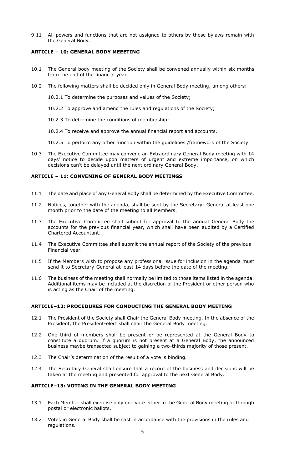9.11 All powers and functions that are not assigned to others by these bylaws remain with the General Body.

#### **ARTICLE – 10: GENERAL BODY MEEETING**

- 10.1 The General body meeting of the Society shall be convened annually within six months from the end of the financial year.
- 10.2 The following matters shall be decided only in General Body meeting, among others:

10.2.1 To determine the purposes and values of the Society;

10.2.2 To approve and amend the rules and regulations of the Society;

10.2.3 To determine the conditions of membership;

10.2.4 To receive and approve the annual financial report and accounts.

10.2.5 To perform any other function within the guidelines /framework of the Society

10.3 The Executive Committee may convene an Extraordinary General Body meeting with 14 days' notice to decide upon matters of urgent and extreme importance, on which decisions can't be delayed until the next ordinary General Body.

#### **ARTICLE – 11: CONVENING OF GENERAL BODY MEETINGS**

- 11.1 The date and place of any General Body shall be determined by the Executive Committee.
- 11.2 Notices, together with the agenda, shall be sent by the Secretary- General at least one month prior to the date of the meeting to all Members.
- 11.3 The Executive Committee shall submit for approval to the annual General Body the accounts for the previous financial year, which shall have been audited by a Certified Chartered Accountant.
- 11.4 The Executive Committee shall submit the annual report of the Society of the previous Financial year.
- 11.5 If the Members wish to propose any professional issue for inclusion in the agenda must send it to Secretary-General at least 14 days before the date of the meeting.
- 11.6 The business of the meeting shall normally be limited to those items listed in the agenda. Additional items may be included at the discretion of the President or other person who is acting as the Chair of the meeting.

#### **ARTICLE–12: PROCEDURES FOR CONDUCTING THE GENERAL BODY MEETING**

- 12.1 The President of the Society shall Chair the General Body meeting. In the absence of the President, the President-elect shall chair the General Body meeting.
- 12.2 One third of members shall be present or be represented at the General Body to constitute a quorum. If a quorum is not present at a General Body, the announced business maybe transacted subject to gaining a two-thirds majority of those present.
- 12.3 The Chair's determination of the result of a vote is binding.
- 12.4 The Secretary General shall ensure that a record of the business and decisions will be taken at the meeting and presented for approval to the next General Body.

#### **ARTICLE–13: VOTING IN THE GENERAL BODY MEETING**

- 13.1 Each Member shall exercise only one vote either in the General Body meeting or through postal or electronic ballots.
- 13.2 Votes in General Body shall be cast in accordance with the provisions in the rules and regulations.